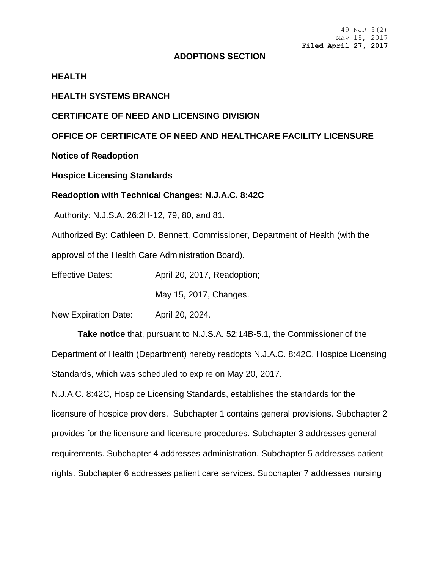#### **ADOPTIONS SECTION**

#### **HEALTH**

#### **HEALTH SYSTEMS BRANCH**

#### **CERTIFICATE OF NEED AND LICENSING DIVISION**

### **OFFICE OF CERTIFICATE OF NEED AND HEALTHCARE FACILITY LICENSURE**

**Notice of Readoption**

#### **Hospice Licensing Standards**

#### **Readoption with Technical Changes: N.J.A.C. 8:42C**

Authority: N.J.S.A. 26:2H-12, 79, 80, and 81.

Authorized By: Cathleen D. Bennett, Commissioner, Department of Health (with the

approval of the Health Care Administration Board).

Effective Dates: April 20, 2017, Readoption;

May 15, 2017, Changes.

New Expiration Date: April 20, 2024.

**Take notice** that, pursuant to N.J.S.A. 52:14B-5.1, the Commissioner of the Department of Health (Department) hereby readopts N.J.A.C. 8:42C, Hospice Licensing Standards, which was scheduled to expire on May 20, 2017.

N.J.A.C. 8:42C, Hospice Licensing Standards, establishes the standards for the licensure of hospice providers. Subchapter 1 contains general provisions. Subchapter 2 provides for the licensure and licensure procedures. Subchapter 3 addresses general requirements. Subchapter 4 addresses administration. Subchapter 5 addresses patient rights. Subchapter 6 addresses patient care services. Subchapter 7 addresses nursing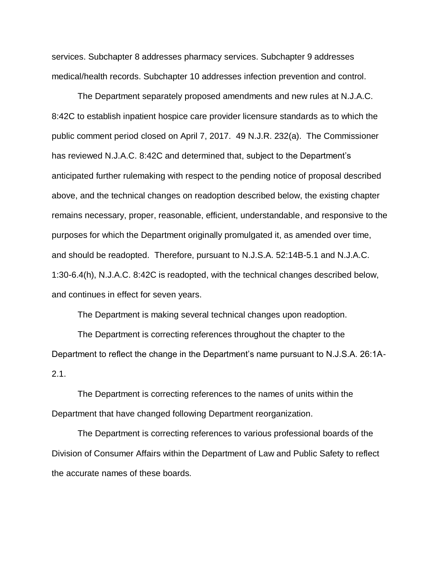services. Subchapter 8 addresses pharmacy services. Subchapter 9 addresses medical/health records. Subchapter 10 addresses infection prevention and control.

The Department separately proposed amendments and new rules at N.J.A.C. 8:42C to establish inpatient hospice care provider licensure standards as to which the public comment period closed on April 7, 2017. 49 N.J.R. 232(a). The Commissioner has reviewed N.J.A.C. 8:42C and determined that, subject to the Department's anticipated further rulemaking with respect to the pending notice of proposal described above, and the technical changes on readoption described below, the existing chapter remains necessary, proper, reasonable, efficient, understandable, and responsive to the purposes for which the Department originally promulgated it, as amended over time, and should be readopted. Therefore, pursuant to N.J.S.A. 52:14B-5.1 and N.J.A.C. 1:30-6.4(h), N.J.A.C. 8:42C is readopted, with the technical changes described below, and continues in effect for seven years.

The Department is making several technical changes upon readoption.

The Department is correcting references throughout the chapter to the Department to reflect the change in the Department's name pursuant to N.J.S.A. 26:1A-2.1.

The Department is correcting references to the names of units within the Department that have changed following Department reorganization.

The Department is correcting references to various professional boards of the Division of Consumer Affairs within the Department of Law and Public Safety to reflect the accurate names of these boards.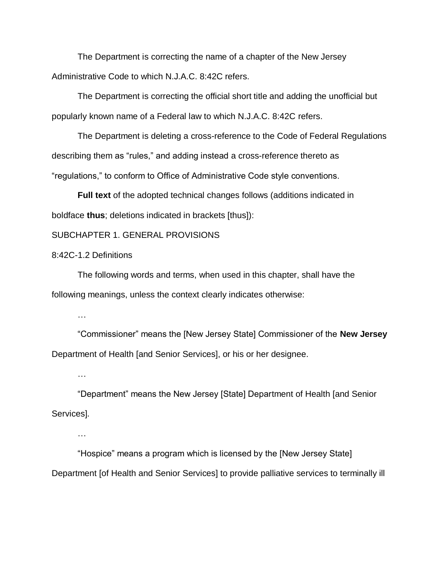The Department is correcting the name of a chapter of the New Jersey Administrative Code to which N.J.A.C. 8:42C refers.

The Department is correcting the official short title and adding the unofficial but popularly known name of a Federal law to which N.J.A.C. 8:42C refers.

The Department is deleting a cross-reference to the Code of Federal Regulations describing them as "rules," and adding instead a cross-reference thereto as "regulations," to conform to Office of Administrative Code style conventions.

**Full text** of the adopted technical changes follows (additions indicated in boldface **thus**; deletions indicated in brackets [thus]):

#### SUBCHAPTER 1. GENERAL PROVISIONS

#### 8:42C-1.2 Definitions

The following words and terms, when used in this chapter, shall have the following meanings, unless the context clearly indicates otherwise:

…

"Commissioner" means the [New Jersey State] Commissioner of the **New Jersey**  Department of Health [and Senior Services], or his or her designee.

…

"Department" means the New Jersey [State] Department of Health [and Senior Services].

…

"Hospice" means a program which is licensed by the [New Jersey State] Department [of Health and Senior Services] to provide palliative services to terminally ill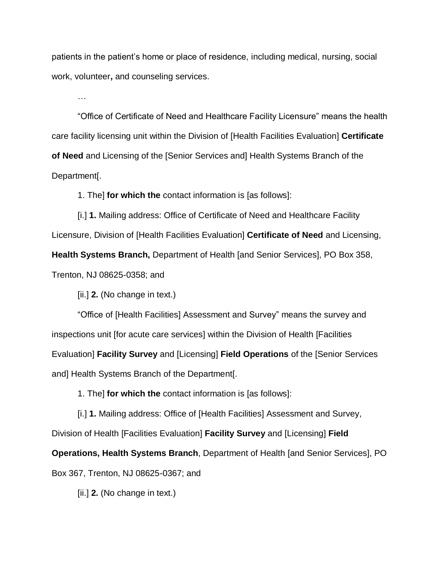patients in the patient's home or place of residence, including medical, nursing, social work, volunteer**,** and counseling services.

…

"Office of Certificate of Need and Healthcare Facility Licensure" means the health care facility licensing unit within the Division of [Health Facilities Evaluation] **Certificate of Need** and Licensing of the [Senior Services and] Health Systems Branch of the Department[.

1. The] **for which the** contact information is [as follows]:

[i.] **1.** Mailing address: Office of Certificate of Need and Healthcare Facility Licensure, Division of [Health Facilities Evaluation] **Certificate of Need** and Licensing, **Health Systems Branch,** Department of Health [and Senior Services], PO Box 358, Trenton, NJ 08625-0358; and

[ii.] **2.** (No change in text.)

"Office of [Health Facilities] Assessment and Survey" means the survey and inspections unit [for acute care services] within the Division of Health [Facilities Evaluation] **Facility Survey** and [Licensing] **Field Operations** of the [Senior Services and] Health Systems Branch of the Department[.

1. The] **for which the** contact information is [as follows]:

[i.] **1.** Mailing address: Office of [Health Facilities] Assessment and Survey, Division of Health [Facilities Evaluation] **Facility Survey** and [Licensing] **Field** 

**Operations, Health Systems Branch**, Department of Health [and Senior Services], PO

Box 367, Trenton, NJ 08625-0367; and

[ii.] **2.** (No change in text.)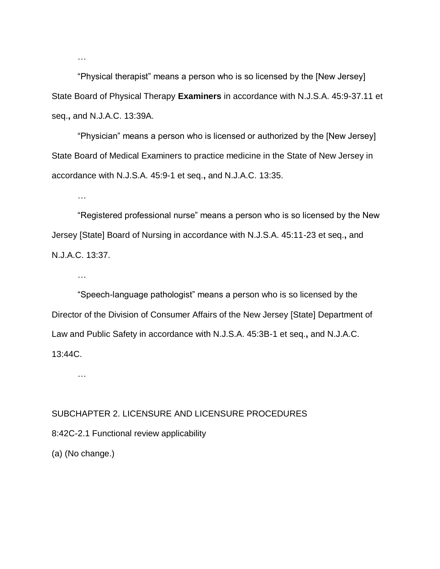"Physical therapist" means a person who is so licensed by the [New Jersey] State Board of Physical Therapy **Examiners** in accordance with N.J.S.A. 45:9-37.11 et seq.**,** and N.J.A.C. 13:39A.

"Physician" means a person who is licensed or authorized by the [New Jersey] State Board of Medical Examiners to practice medicine in the State of New Jersey in accordance with N.J.S.A. 45:9-1 et seq.**,** and N.J.A.C. 13:35.

"Registered professional nurse" means a person who is so licensed by the New Jersey [State] Board of Nursing in accordance with N.J.S.A. 45:11-23 et seq.**,** and N.J.A.C. 13:37.

"Speech-language pathologist" means a person who is so licensed by the Director of the Division of Consumer Affairs of the New Jersey [State] Department of Law and Public Safety in accordance with N.J.S.A. 45:3B-1 et seq.**,** and N.J.A.C. 13:44C.

…

…

…

…

#### SUBCHAPTER 2. LICENSURE AND LICENSURE PROCEDURES

8:42C-2.1 Functional review applicability

(a) (No change.)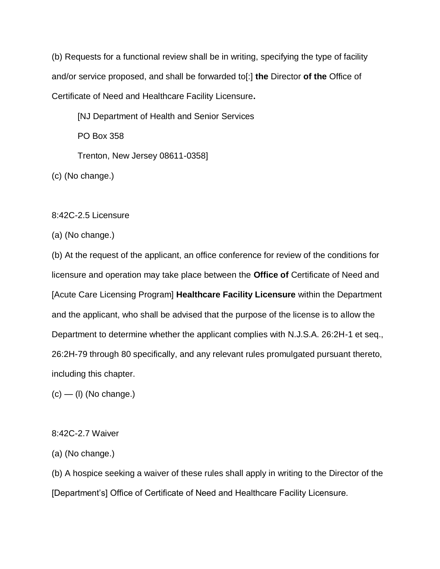(b) Requests for a functional review shall be in writing, specifying the type of facility and/or service proposed, and shall be forwarded to[:] **the** Director **of the** Office of Certificate of Need and Healthcare Facility Licensure**.**

[NJ Department of Health and Senior Services PO Box 358 Trenton, New Jersey 08611-0358]

(c) (No change.)

## 8:42C-2.5 Licensure

(a) (No change.)

(b) At the request of the applicant, an office conference for review of the conditions for licensure and operation may take place between the **Office of** Certificate of Need and [Acute Care Licensing Program] **Healthcare Facility Licensure** within the Department and the applicant, who shall be advised that the purpose of the license is to allow the Department to determine whether the applicant complies with N.J.S.A. 26:2H-1 et seq., 26:2H-79 through 80 specifically, and any relevant rules promulgated pursuant thereto, including this chapter.

 $(c)$  — (I) (No change.)

## 8:42C-2.7 Waiver

(a) (No change.)

(b) A hospice seeking a waiver of these rules shall apply in writing to the Director of the [Department's] Office of Certificate of Need and Healthcare Facility Licensure.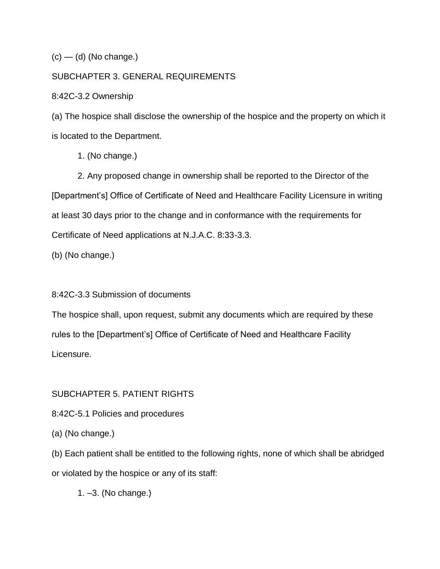$(c)$  — (d) (No change.)

## SUBCHAPTER 3. GENERAL REQUIREMENTS

8:42C-3.2 Ownership

(a) The hospice shall disclose the ownership of the hospice and the property on which it is located to the Department.

1. (No change.)

2. Any proposed change in ownership shall be reported to the Director of the [Department's] Office of Certificate of Need and Healthcare Facility Licensure in writing at least 30 days prior to the change and in conformance with the requirements for Certificate of Need applications at N.J.A.C. 8:33-3.3.

(b) (No change.)

8:42C-3.3 Submission of documents

The hospice shall, upon request, submit any documents which are required by these rules to the [Department's] Office of Certificate of Need and Healthcare Facility Licensure.

# SUBCHAPTER 5. PATIENT RIGHTS

8:42C-5.1 Policies and procedures

(a) (No change.)

(b) Each patient shall be entitled to the following rights, none of which shall be abridged or violated by the hospice or any of its staff:

1. –3. (No change.)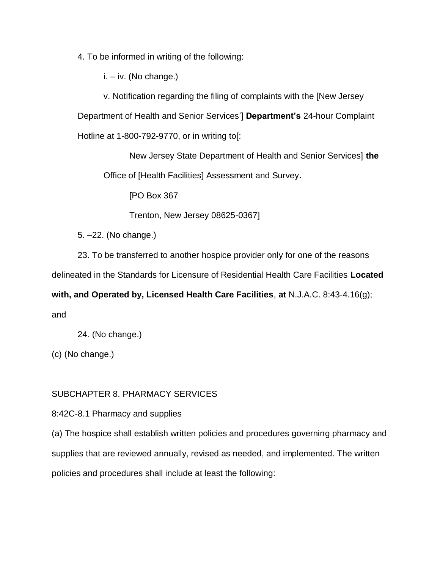4. To be informed in writing of the following:

i. – iv. (No change.)

v. Notification regarding the filing of complaints with the [New Jersey

Department of Health and Senior Services'] **Department's** 24-hour Complaint

Hotline at 1-800-792-9770, or in writing to[:

New Jersey State Department of Health and Senior Services] **the**  Office of [Health Facilities] Assessment and Survey**.**

[PO Box 367

Trenton, New Jersey 08625-0367]

5. –22. (No change.)

23. To be transferred to another hospice provider only for one of the reasons

delineated in the Standards for Licensure of Residential Health Care Facilities **Located** 

**with, and Operated by, Licensed Health Care Facilities**, **at** N.J.A.C. 8:43-4.16(g);

and

24. (No change.)

(c) (No change.)

# SUBCHAPTER 8. PHARMACY SERVICES

8:42C-8.1 Pharmacy and supplies

(a) The hospice shall establish written policies and procedures governing pharmacy and supplies that are reviewed annually, revised as needed, and implemented. The written policies and procedures shall include at least the following: